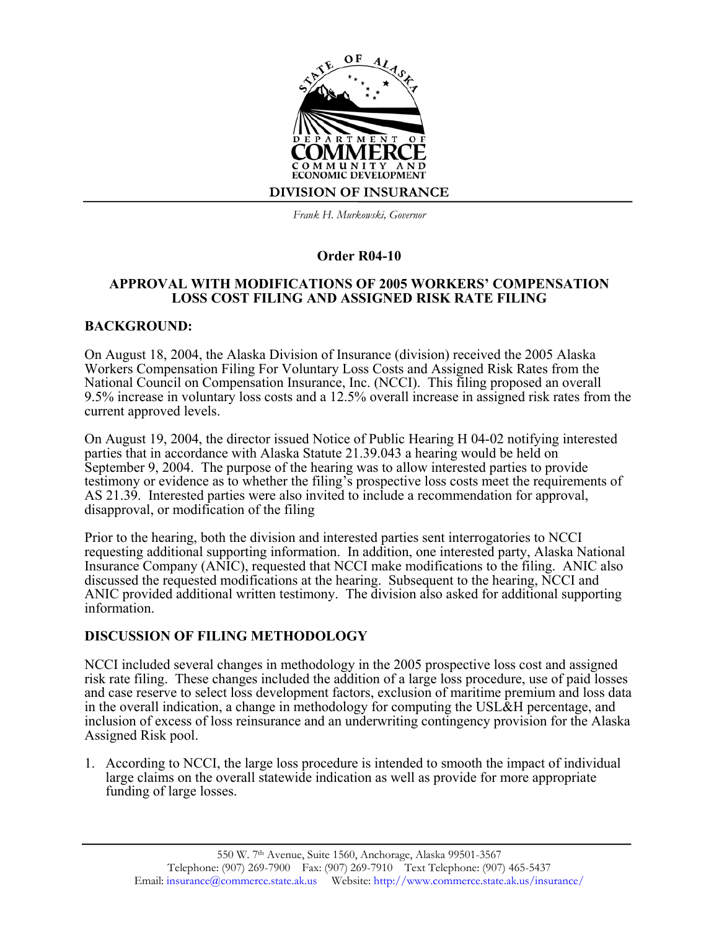

*Frank H. Murkowski, Governor*

# **Order R04-10**

### **APPROVAL WITH MODIFICATIONS OF 2005 WORKERS' COMPENSATION LOSS COST FILING AND ASSIGNED RISK RATE FILING**

# **BACKGROUND:**

On August 18, 2004, the Alaska Division of Insurance (division) received the 2005 Alaska Workers Compensation Filing For Voluntary Loss Costs and Assigned Risk Rates from the National Council on Compensation Insurance, Inc. (NCCI). This filing proposed an overall 9.5% increase in voluntary loss costs and a 12.5% overall increase in assigned risk rates from the current approved levels.

On August 19, 2004, the director issued Notice of Public Hearing H 04-02 notifying interested parties that in accordance with Alaska Statute 21.39.043 a hearing would be held on September 9, 2004. The purpose of the hearing was to allow interested parties to provide testimony or evidence as to whether the filing's prospective loss costs meet the requirements of AS 21.39. Interested parties were also invited to include a recommendation for approval, disapproval, or modification of the filing

Prior to the hearing, both the division and interested parties sent interrogatories to NCCI requesting additional supporting information. In addition, one interested party, Alaska National Insurance Company (ANIC), requested that NCCI make modifications to the filing. ANIC also discussed the requested modifications at the hearing. Subsequent to the hearing, NCCI and ANIC provided additional written testimony. The division also asked for additional supporting information.

# **DISCUSSION OF FILING METHODOLOGY**

NCCI included several changes in methodology in the 2005 prospective loss cost and assigned risk rate filing. These changes included the addition of a large loss procedure, use of paid losses and case reserve to select loss development factors, exclusion of maritime premium and loss data in the overall indication, a change in methodology for computing the USL&H percentage, and inclusion of excess of loss reinsurance and an underwriting contingency provision for the Alaska Assigned Risk pool.

1. According to NCCI, the large loss procedure is intended to smooth the impact of individual large claims on the overall statewide indication as well as provide for more appropriate funding of large losses.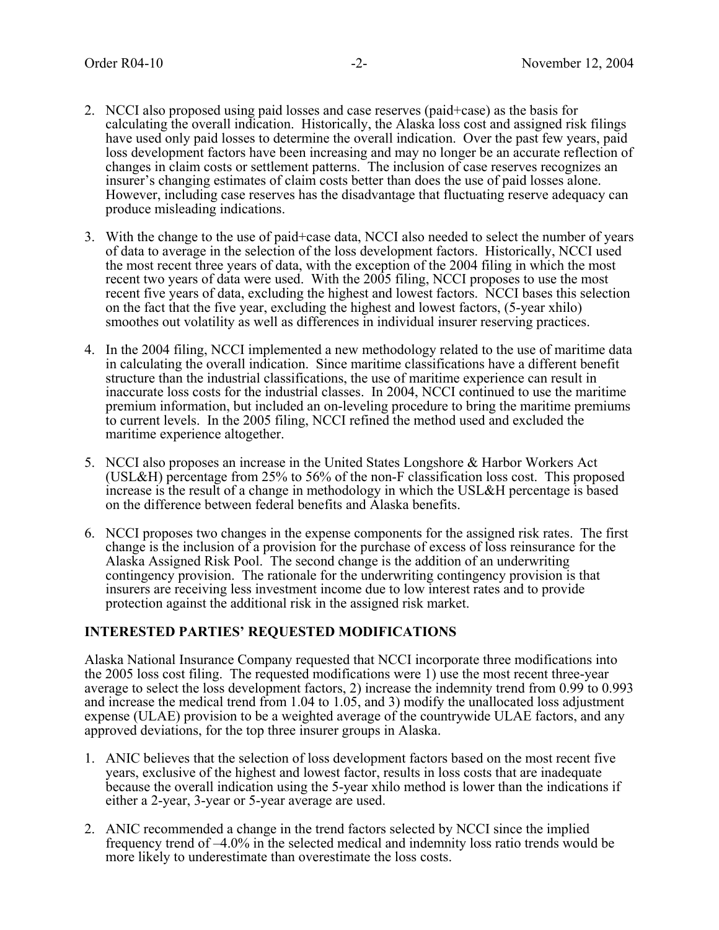- 2. NCCI also proposed using paid losses and case reserves (paid+case) as the basis for calculating the overall indication. Historically, the Alaska loss cost and assigned risk filings have used only paid losses to determine the overall indication. Over the past few years, paid loss development factors have been increasing and may no longer be an accurate reflection of changes in claim costs or settlement patterns. The inclusion of case reserves recognizes an insurer's changing estimates of claim costs better than does the use of paid losses alone. However, including case reserves has the disadvantage that fluctuating reserve adequacy can produce misleading indications.
- 3. With the change to the use of paid+case data, NCCI also needed to select the number of years of data to average in the selection of the loss development factors. Historically, NCCI used the most recent three years of data, with the exception of the 2004 filing in which the most recent two years of data were used. With the 2005 filing, NCCI proposes to use the most recent five years of data, excluding the highest and lowest factors. NCCI bases this selection on the fact that the five year, excluding the highest and lowest factors, (5-year xhilo) smoothes out volatility as well as differences in individual insurer reserving practices.
- 4. In the 2004 filing, NCCI implemented a new methodology related to the use of maritime data in calculating the overall indication. Since maritime classifications have a different benefit structure than the industrial classifications, the use of maritime experience can result in inaccurate loss costs for the industrial classes. In 2004, NCCI continued to use the maritime premium information, but included an on-leveling procedure to bring the maritime premiums to current levels. In the 2005 filing, NCCI refined the method used and excluded the maritime experience altogether.
- 5. NCCI also proposes an increase in the United States Longshore & Harbor Workers Act (USL&H) percentage from 25% to 56% of the non-F classification loss cost. This proposed increase is the result of a change in methodology in which the USL&H percentage is based on the difference between federal benefits and Alaska benefits.
- 6. NCCI proposes two changes in the expense components for the assigned risk rates. The first change is the inclusion of a provision for the purchase of excess of loss reinsurance for the Alaska Assigned Risk Pool. The second change is the addition of an underwriting contingency provision. The rationale for the underwriting contingency provision is that insurers are receiving less investment income due to low interest rates and to provide protection against the additional risk in the assigned risk market.

### **INTERESTED PARTIES' REQUESTED MODIFICATIONS**

Alaska National Insurance Company requested that NCCI incorporate three modifications into the 2005 loss cost filing. The requested modifications were 1) use the most recent three-year average to select the loss development factors, 2) increase the indemnity trend from 0.99 to 0.993 and increase the medical trend from 1.04 to 1.05, and 3) modify the unallocated loss adjustment expense (ULAE) provision to be a weighted average of the countrywide ULAE factors, and any approved deviations, for the top three insurer groups in Alaska.

- 1. ANIC believes that the selection of loss development factors based on the most recent five years, exclusive of the highest and lowest factor, results in loss costs that are inadequate because the overall indication using the 5-year xhilo method is lower than the indications if either a 2-year, 3-year or 5-year average are used.
- 2. ANIC recommended a change in the trend factors selected by NCCI since the implied frequency trend of –4.0% in the selected medical and indemnity loss ratio trends would be more likely to underestimate than overestimate the loss costs.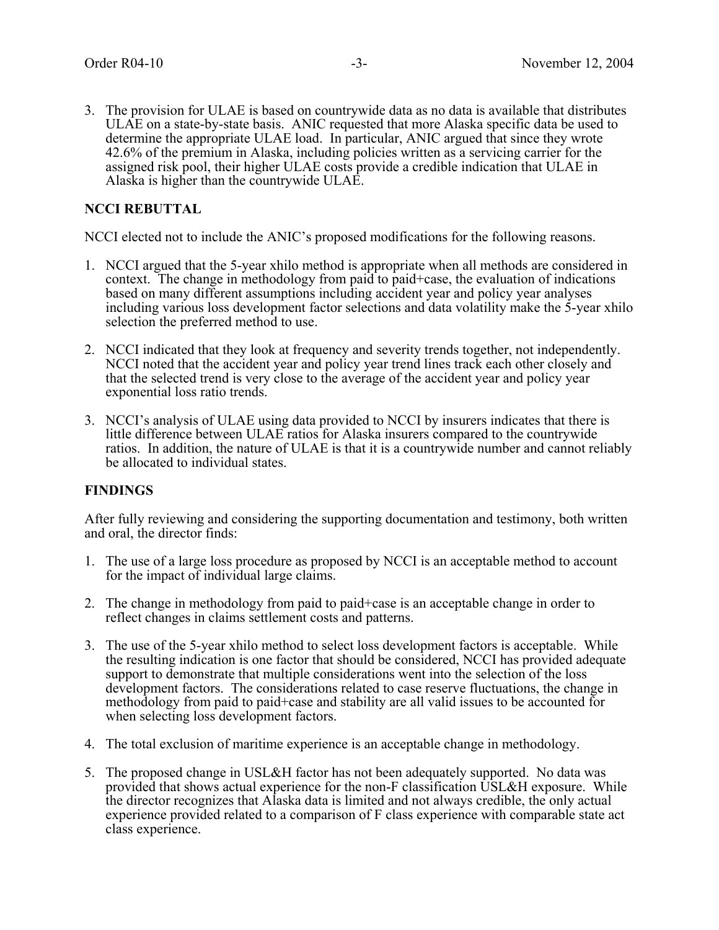3. The provision for ULAE is based on countrywide data as no data is available that distributes ULAE on a state-by-state basis. ANIC requested that more Alaska specific data be used to determine the appropriate ULAE load. In particular, ANIC argued that since they wrote 42.6% of the premium in Alaska, including policies written as a servicing carrier for the assigned risk pool, their higher ULAE costs provide a credible indication that ULAE in Alaska is higher than the countrywide ULAE.

### **NCCI REBUTTAL**

NCCI elected not to include the ANIC's proposed modifications for the following reasons.

- 1. NCCI argued that the 5-year xhilo method is appropriate when all methods are considered in context. The change in methodology from paid to paid+case, the evaluation of indications based on many different assumptions including accident year and policy year analyses including various loss development factor selections and data volatility make the 5-year xhilo selection the preferred method to use.
- 2. NCCI indicated that they look at frequency and severity trends together, not independently. NCCI noted that the accident year and policy year trend lines track each other closely and that the selected trend is very close to the average of the accident year and policy year exponential loss ratio trends.
- 3. NCCI's analysis of ULAE using data provided to NCCI by insurers indicates that there is little difference between ULAE ratios for Alaska insurers compared to the countrywide ratios. In addition, the nature of ULAE is that it is a countrywide number and cannot reliably be allocated to individual states.

#### **FINDINGS**

After fully reviewing and considering the supporting documentation and testimony, both written and oral, the director finds:

- 1. The use of a large loss procedure as proposed by NCCI is an acceptable method to account for the impact of individual large claims.
- 2. The change in methodology from paid to paid+case is an acceptable change in order to reflect changes in claims settlement costs and patterns.
- 3. The use of the 5-year xhilo method to select loss development factors is acceptable. While the resulting indication is one factor that should be considered, NCCI has provided adequate support to demonstrate that multiple considerations went into the selection of the loss development factors. The considerations related to case reserve fluctuations, the change in methodology from paid to paid+case and stability are all valid issues to be accounted for when selecting loss development factors.
- 4. The total exclusion of maritime experience is an acceptable change in methodology.
- 5. The proposed change in USL&H factor has not been adequately supported. No data was provided that shows actual experience for the non-F classification USL&H exposure. While the director recognizes that Alaska data is limited and not always credible, the only actual experience provided related to a comparison of F class experience with comparable state act class experience.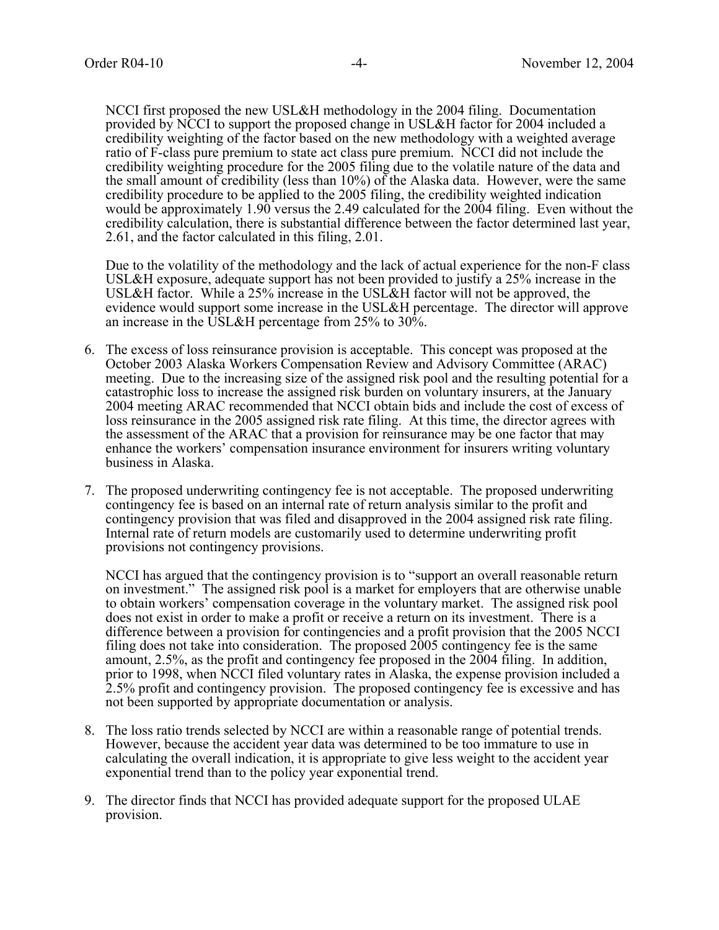NCCI first proposed the new USL&H methodology in the 2004 filing. Documentation provided by NCCI to support the proposed change in USL&H factor for 2004 included a credibility weighting of the factor based on the new methodology with a weighted average ratio of F-class pure premium to state act class pure premium. NCCI did not include the credibility weighting procedure for the 2005 filing due to the volatile nature of the data and the small amount of credibility (less than 10%) of the Alaska data. However, were the same credibility procedure to be applied to the 2005 filing, the credibility weighted indication would be approximately 1.90 versus the 2.49 calculated for the 2004 filing. Even without the credibility calculation, there is substantial difference between the factor determined last year, 2.61, and the factor calculated in this filing, 2.01.

Due to the volatility of the methodology and the lack of actual experience for the non-F class USL&H exposure, adequate support has not been provided to justify a 25% increase in the USL&H factor. While a 25% increase in the USL&H factor will not be approved, the evidence would support some increase in the USL&H percentage. The director will approve an increase in the USL&H percentage from  $25\%$  to  $30\%$ .

- 6. The excess of loss reinsurance provision is acceptable. This concept was proposed at the October 2003 Alaska Workers Compensation Review and Advisory Committee (ARAC) meeting. Due to the increasing size of the assigned risk pool and the resulting potential for a catastrophic loss to increase the assigned risk burden on voluntary insurers, at the January 2004 meeting ARAC recommended that NCCI obtain bids and include the cost of excess of loss reinsurance in the 2005 assigned risk rate filing. At this time, the director agrees with the assessment of the ARAC that a provision for reinsurance may be one factor that may enhance the workers' compensation insurance environment for insurers writing voluntary business in Alaska.
- 7. The proposed underwriting contingency fee is not acceptable. The proposed underwriting contingency fee is based on an internal rate of return analysis similar to the profit and contingency provision that was filed and disapproved in the 2004 assigned risk rate filing. Internal rate of return models are customarily used to determine underwriting profit provisions not contingency provisions.

NCCI has argued that the contingency provision is to "support an overall reasonable return on investment." The assigned risk pool is a market for employers that are otherwise unable to obtain workers' compensation coverage in the voluntary market. The assigned risk pool does not exist in order to make a profit or receive a return on its investment. There is a difference between a provision for contingencies and a profit provision that the 2005 NCCI filing does not take into consideration. The proposed 2005 contingency fee is the same amount, 2.5%, as the profit and contingency fee proposed in the 2004 filing. In addition, prior to 1998, when NCCI filed voluntary rates in Alaska, the expense provision included a 2.5% profit and contingency provision. The proposed contingency fee is excessive and has not been supported by appropriate documentation or analysis.

- 8. The loss ratio trends selected by NCCI are within a reasonable range of potential trends. However, because the accident year data was determined to be too immature to use in calculating the overall indication, it is appropriate to give less weight to the accident year exponential trend than to the policy year exponential trend.
- 9. The director finds that NCCI has provided adequate support for the proposed ULAE provision.